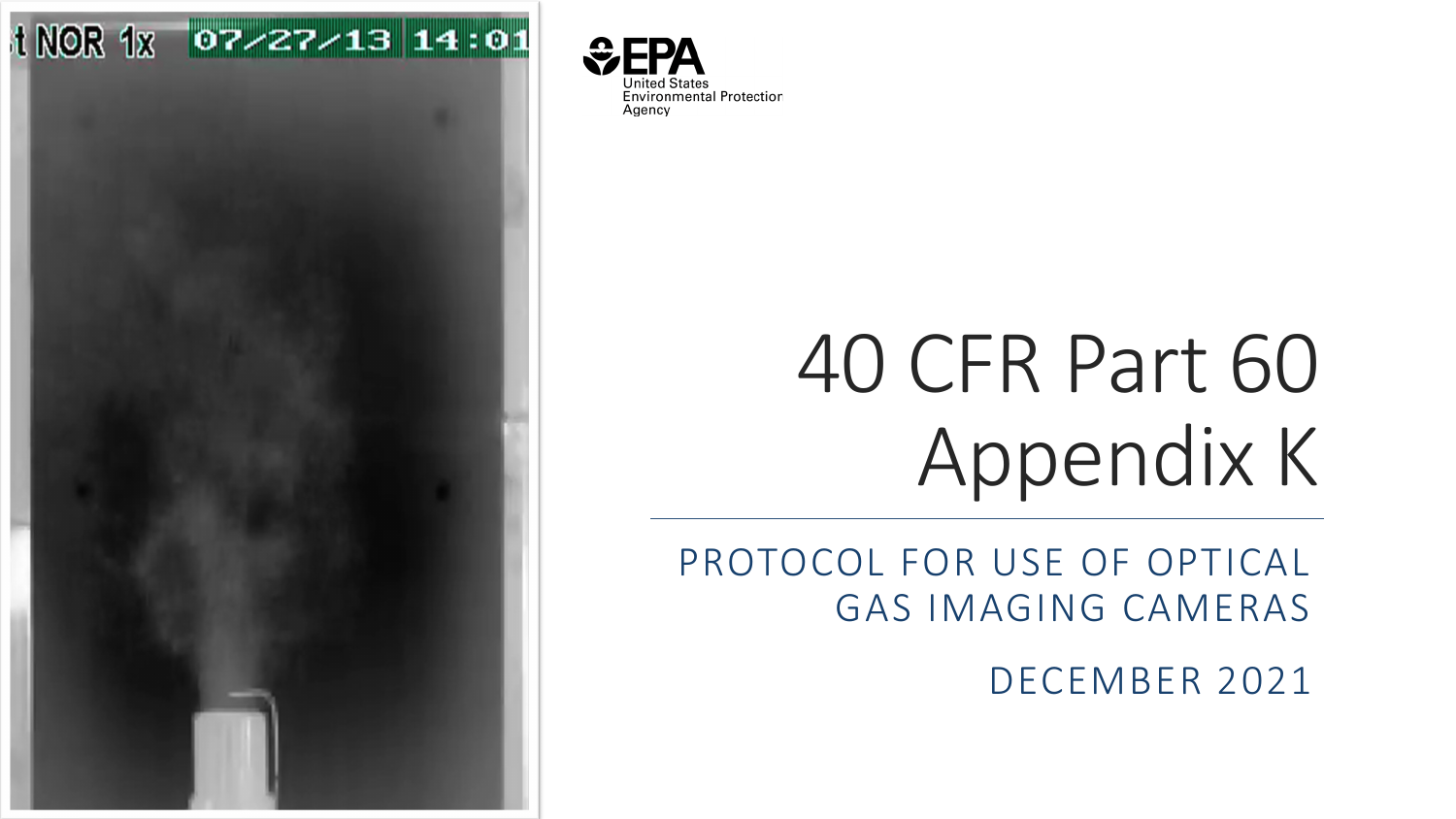



# 40 CFR Part 60 Appendix K

PROTOCOL FOR USE OF OPTICAL GAS IMAGING CAMERAS

DECEMBER 2021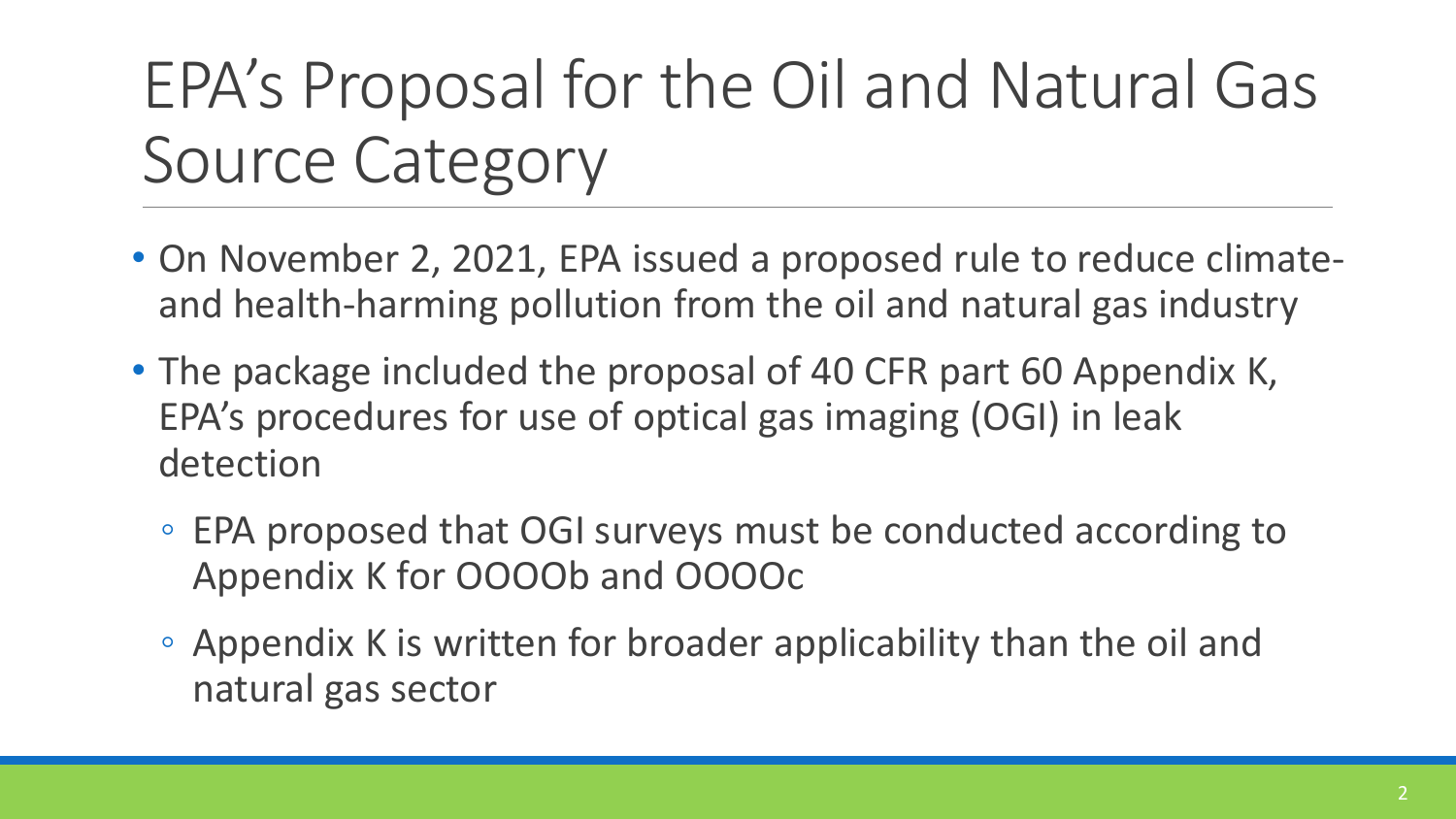## EPA's Proposal for the Oil and Natural Gas Source Category

- On November 2, 2021, EPA issued a proposed rule to reduce climateand health-harming pollution from the oil and natural gas industry
- The package included the proposal of 40 CFR part 60 Appendix K, EPA's procedures for use of optical gas imaging (OGI) in leak detection
	- EPA proposed that OGI surveys must be conducted according to Appendix K for OOOOb and OOOOc
	- Appendix K is written for broader applicability than the oil and natural gas sector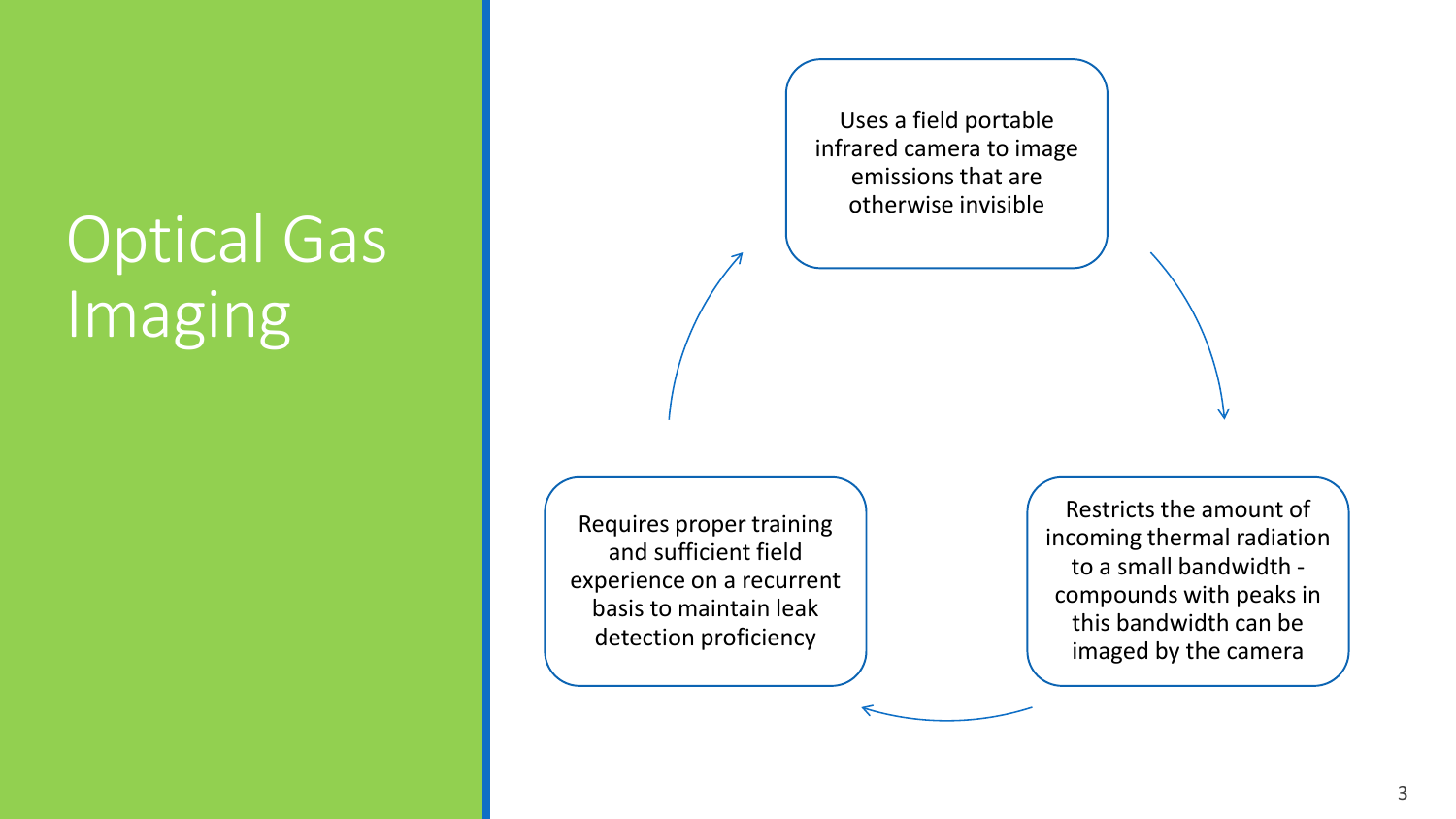### Optical Gas Imaging

Uses a field portable infrared camera to image emissions that are otherwise invisible

Requires proper training and sufficient field experience on a recurrent basis to maintain leak detection proficiency

Restricts the amount of incoming thermal radiation to a small bandwidth compounds with peaks in this bandwidth can be imaged by the camera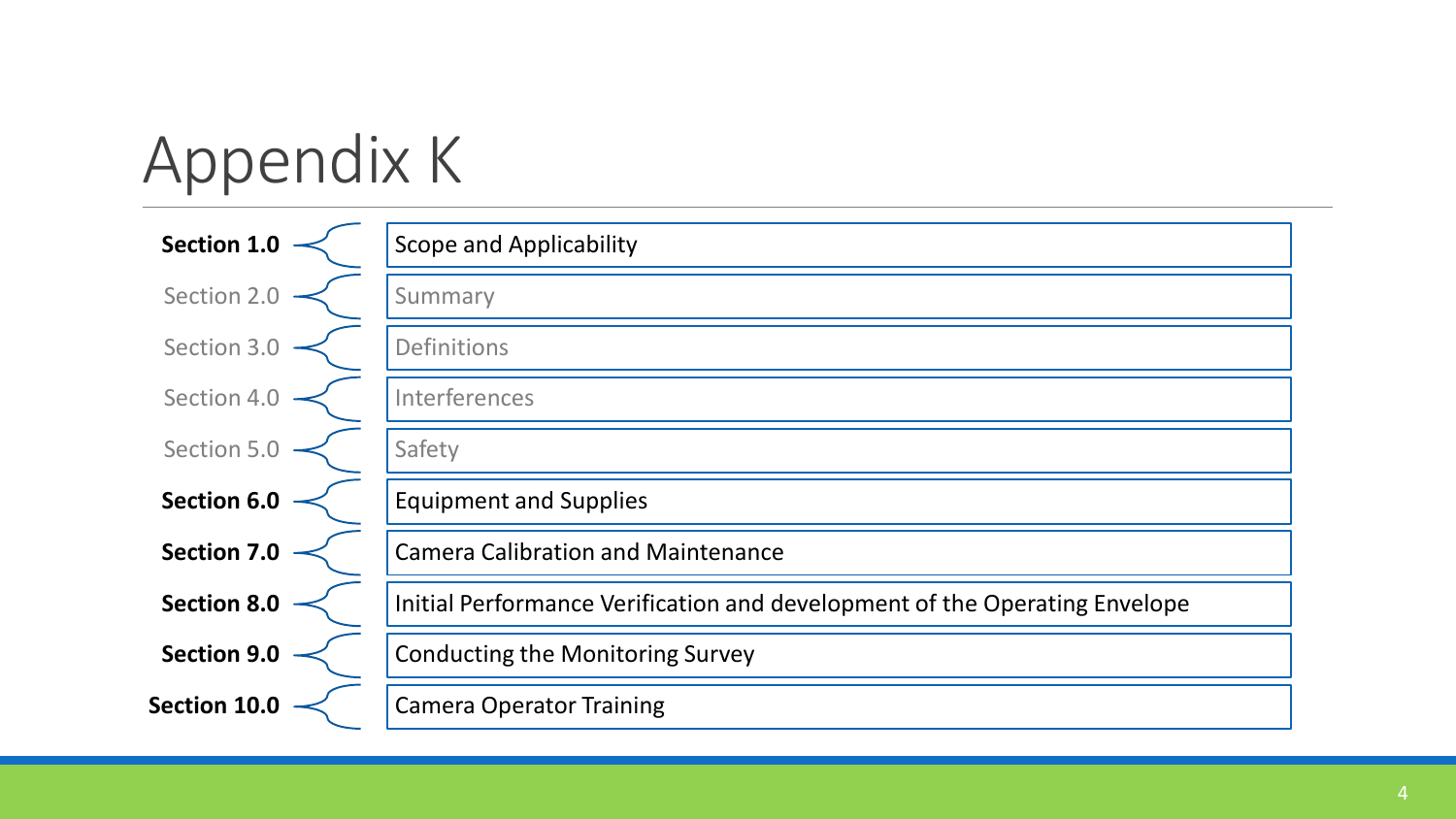# Appendix K

| <b>Section 1.0</b> | <b>Scope and Applicability</b>                                             |
|--------------------|----------------------------------------------------------------------------|
| Section 2.0        | Summary                                                                    |
| Section 3.0        | <b>Definitions</b>                                                         |
| Section 4.0        | Interferences                                                              |
| Section 5.0        | Safety                                                                     |
| <b>Section 6.0</b> | <b>Equipment and Supplies</b>                                              |
| <b>Section 7.0</b> | <b>Camera Calibration and Maintenance</b>                                  |
| <b>Section 8.0</b> | Initial Performance Verification and development of the Operating Envelope |
| <b>Section 9.0</b> | <b>Conducting the Monitoring Survey</b>                                    |
| Section 10.0       | <b>Camera Operator Training</b>                                            |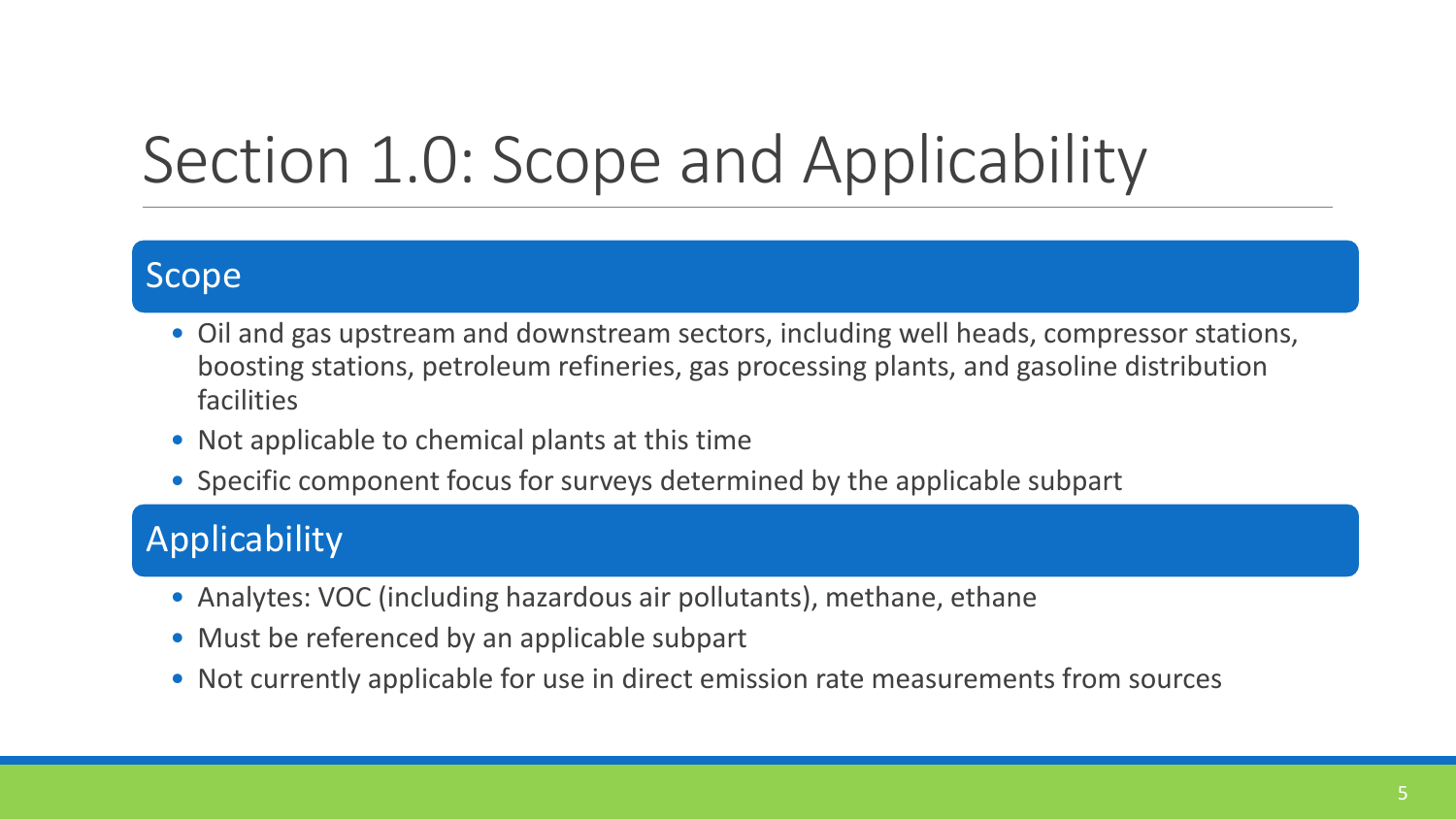### Section 1.0: Scope and Applicability

#### Scope

- Oil and gas upstream and downstream sectors, including well heads, compressor stations, boosting stations, petroleum refineries, gas processing plants, and gasoline distribution facilities
- Not applicable to chemical plants at this time
- Specific component focus for surveys determined by the applicable subpart

#### Applicability

- Analytes: VOC (including hazardous air pollutants), methane, ethane
- Must be referenced by an applicable subpart
- Not currently applicable for use in direct emission rate measurements from sources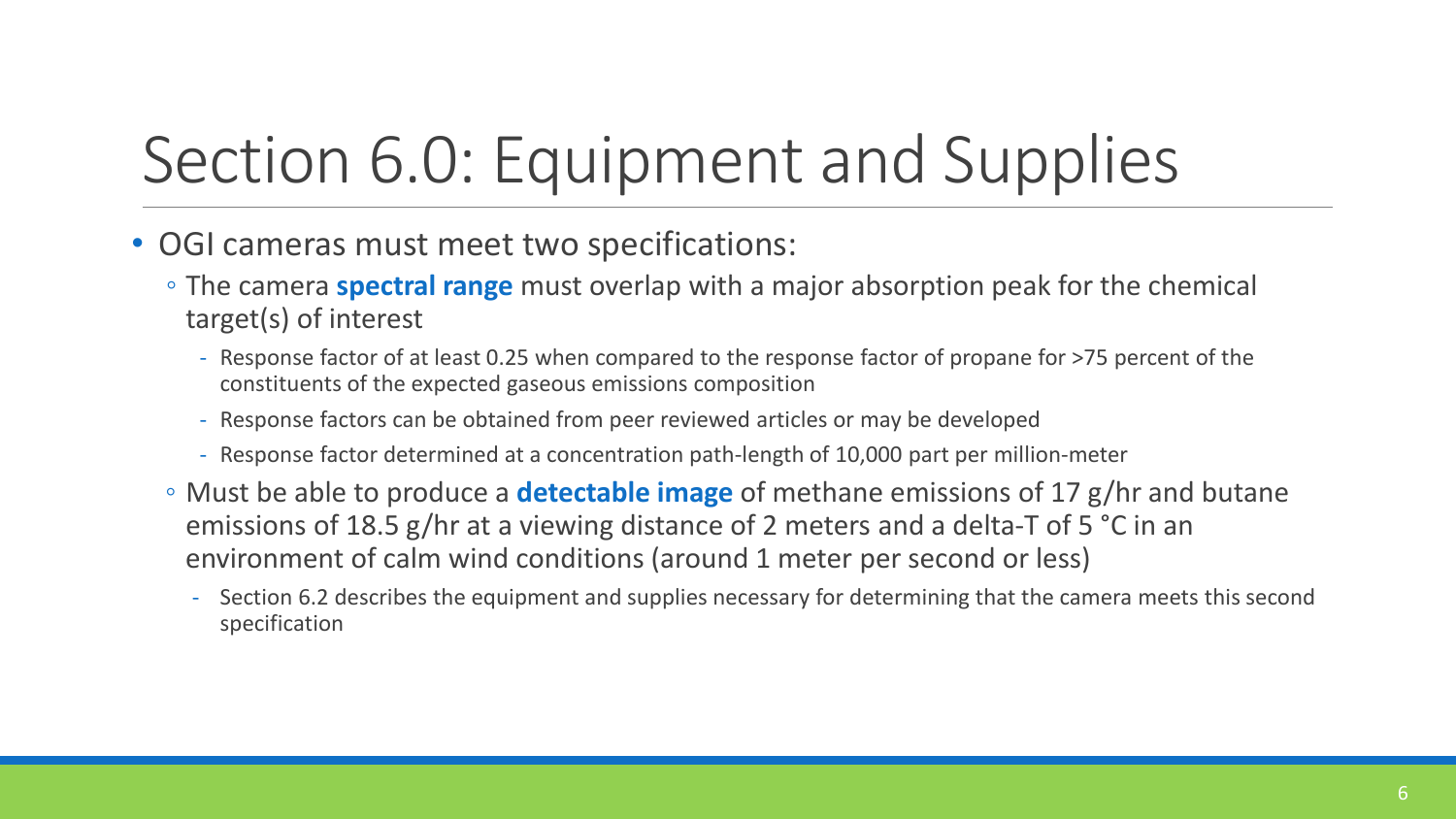## Section 6.0: Equipment and Supplies

- OGI cameras must meet two specifications:
	- The camera **spectral range** must overlap with a major absorption peak for the chemical target(s) of interest
		- Response factor of at least 0.25 when compared to the response factor of propane for >75 percent of the constituents of the expected gaseous emissions composition
		- Response factors can be obtained from peer reviewed articles or may be developed
		- Response factor determined at a concentration path-length of 10,000 part per million-meter
	- Must be able to produce a **detectable image** of methane emissions of 17 g/hr and butane emissions of 18.5 g/hr at a viewing distance of 2 meters and a delta-T of 5 °C in an environment of calm wind conditions (around 1 meter per second or less)
		- Section 6.2 describes the equipment and supplies necessary for determining that the camera meets this second specification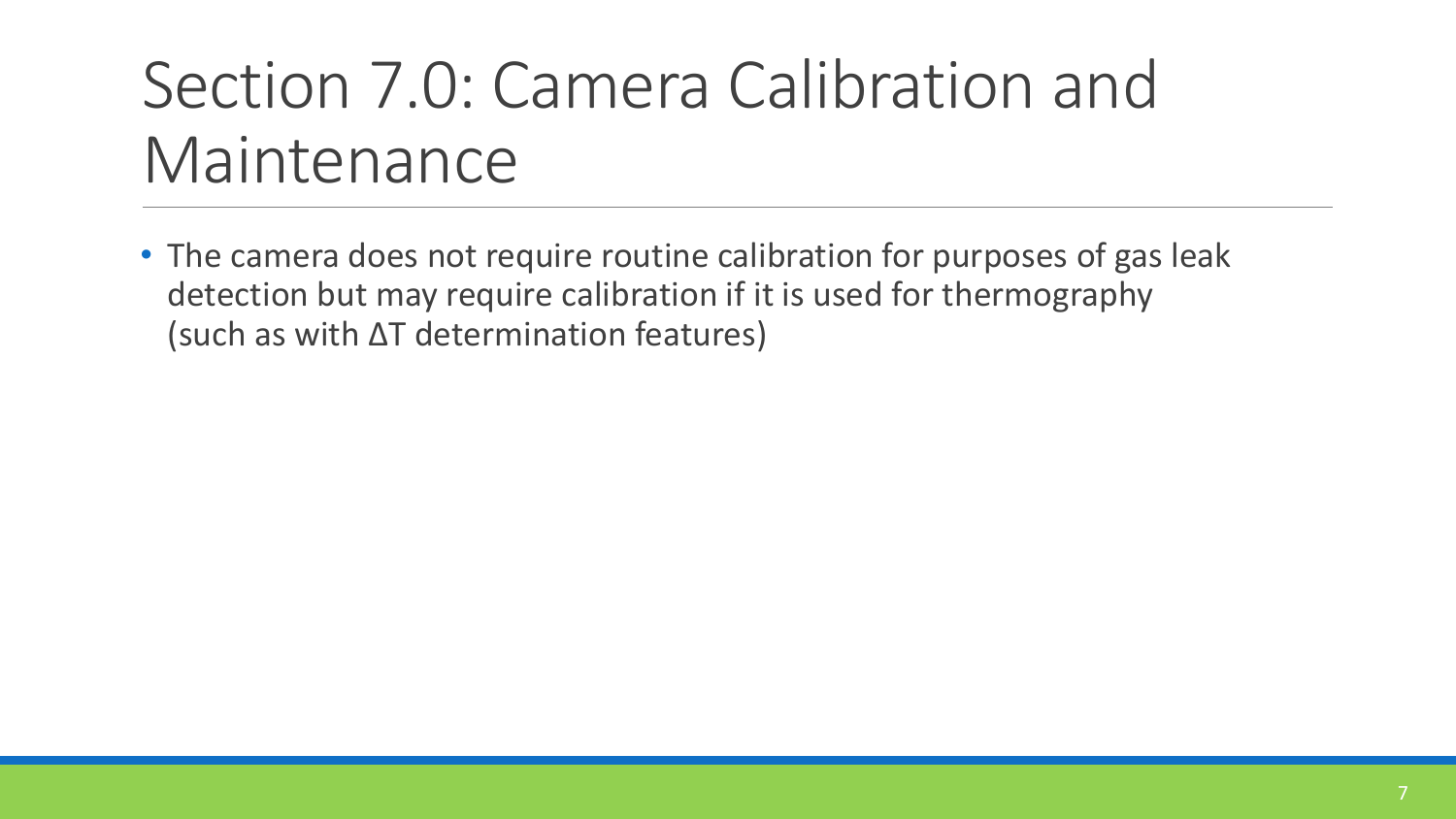#### Section 7.0: Camera Calibration and Maintenance

• The camera does not require routine calibration for purposes of gas leak detection but may require calibration if it is used for thermography (such as with ∆T determination features)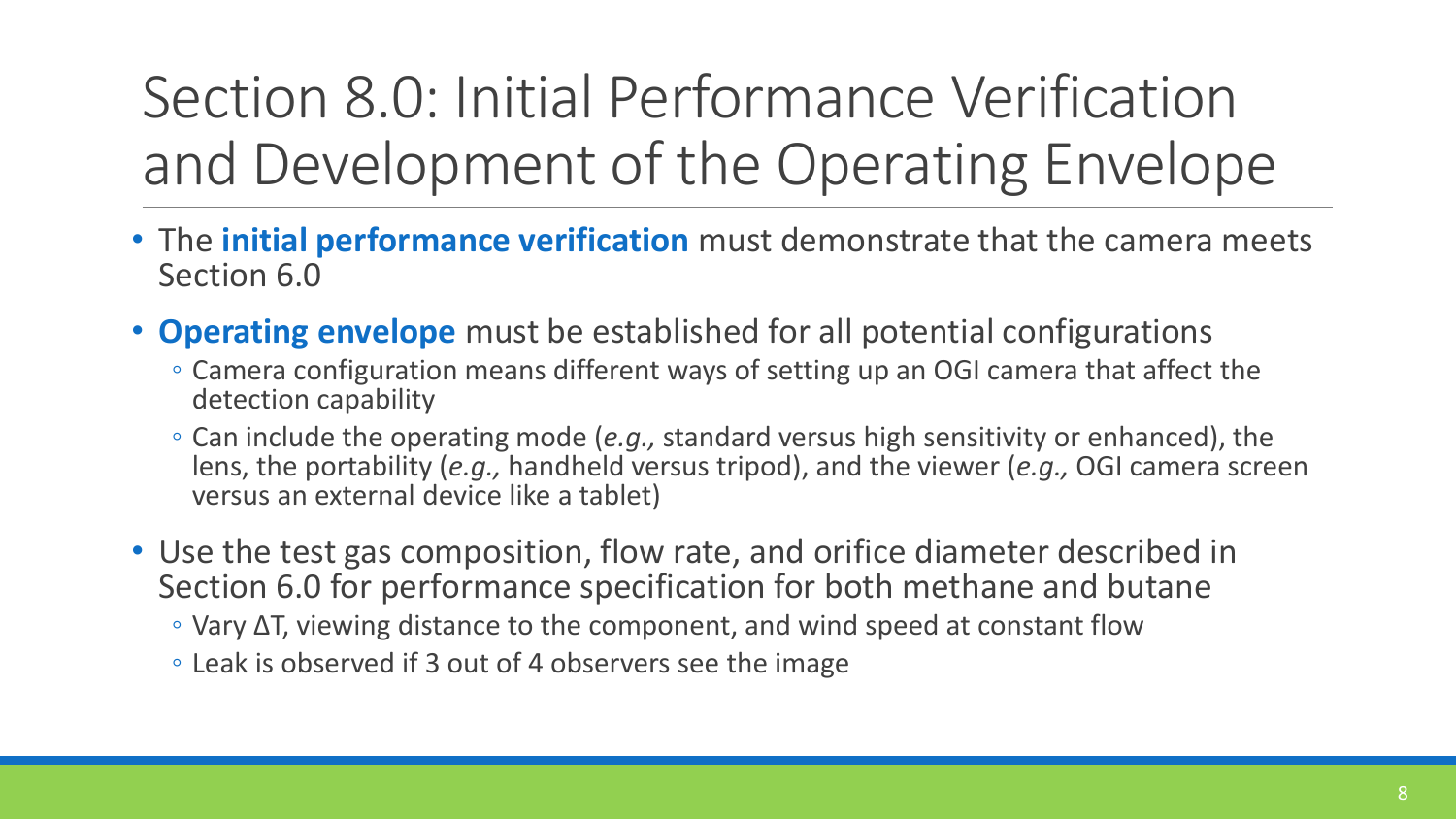#### Section 8.0: Initial Performance Verification and Development of the Operating Envelope

- The **initial performance verification** must demonstrate that the camera meets Section 6.0
- **Operating envelope** must be established for all potential configurations
	- Camera configuration means different ways of setting up an OGI camera that affect the detection capability
	- Can include the operating mode (*e.g.,* standard versus high sensitivity or enhanced), the lens, the portability (*e.g.,* handheld versus tripod), and the viewer (*e.g.,* OGI camera screen versus an external device like a tablet)
- Use the test gas composition, flow rate, and orifice diameter described in Section 6.0 for performance specification for both methane and butane
	- Vary ∆T, viewing distance to the component, and wind speed at constant flow
	- Leak is observed if 3 out of 4 observers see the image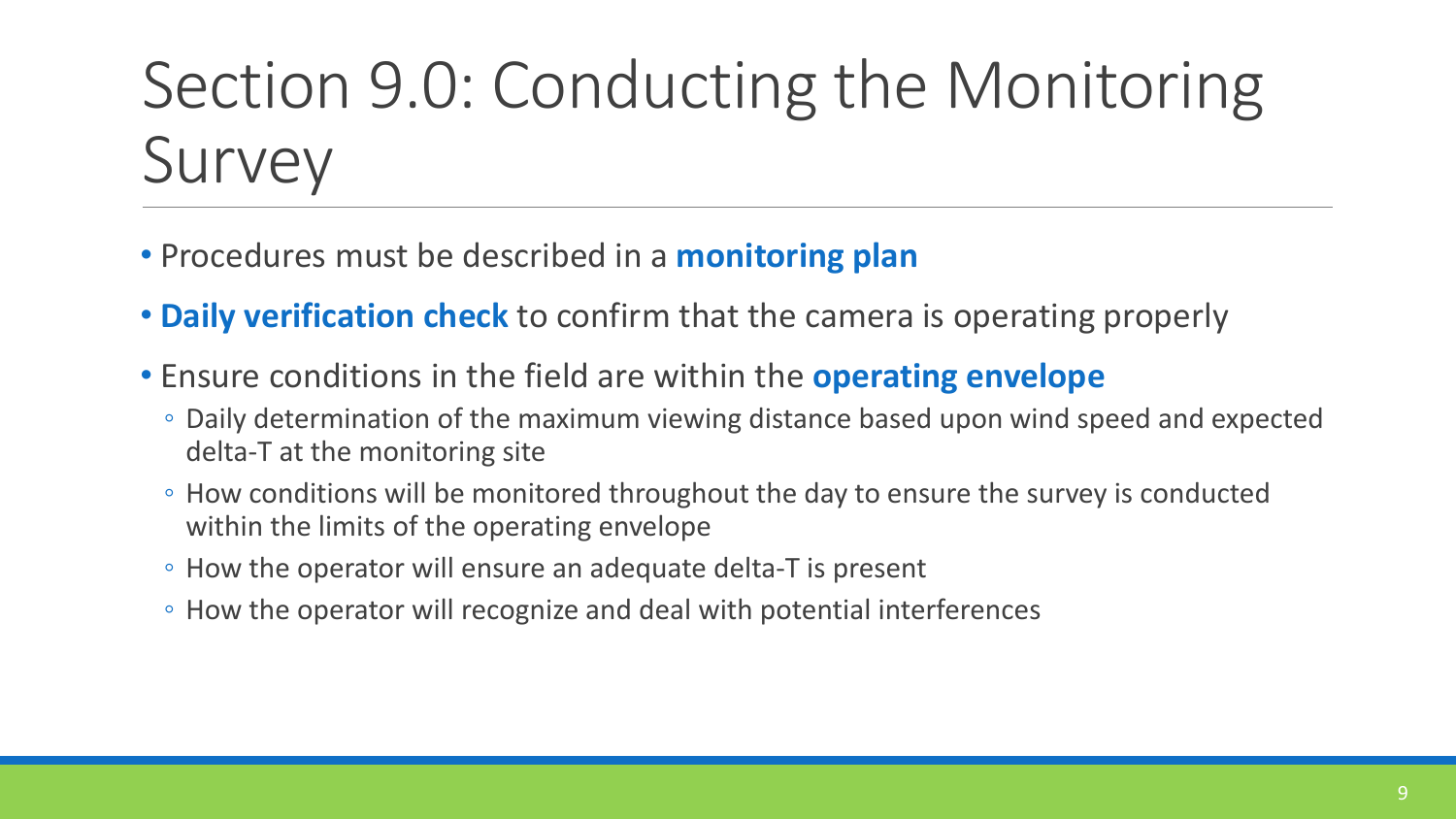### Section 9.0: Conducting the Monitoring Survey

- Procedures must be described in a **monitoring plan**
- **Daily verification check** to confirm that the camera is operating properly
- Ensure conditions in the field are within the **operating envelope**
	- Daily determination of the maximum viewing distance based upon wind speed and expected delta-T at the monitoring site
	- How conditions will be monitored throughout the day to ensure the survey is conducted within the limits of the operating envelope
	- How the operator will ensure an adequate delta-T is present
	- How the operator will recognize and deal with potential interferences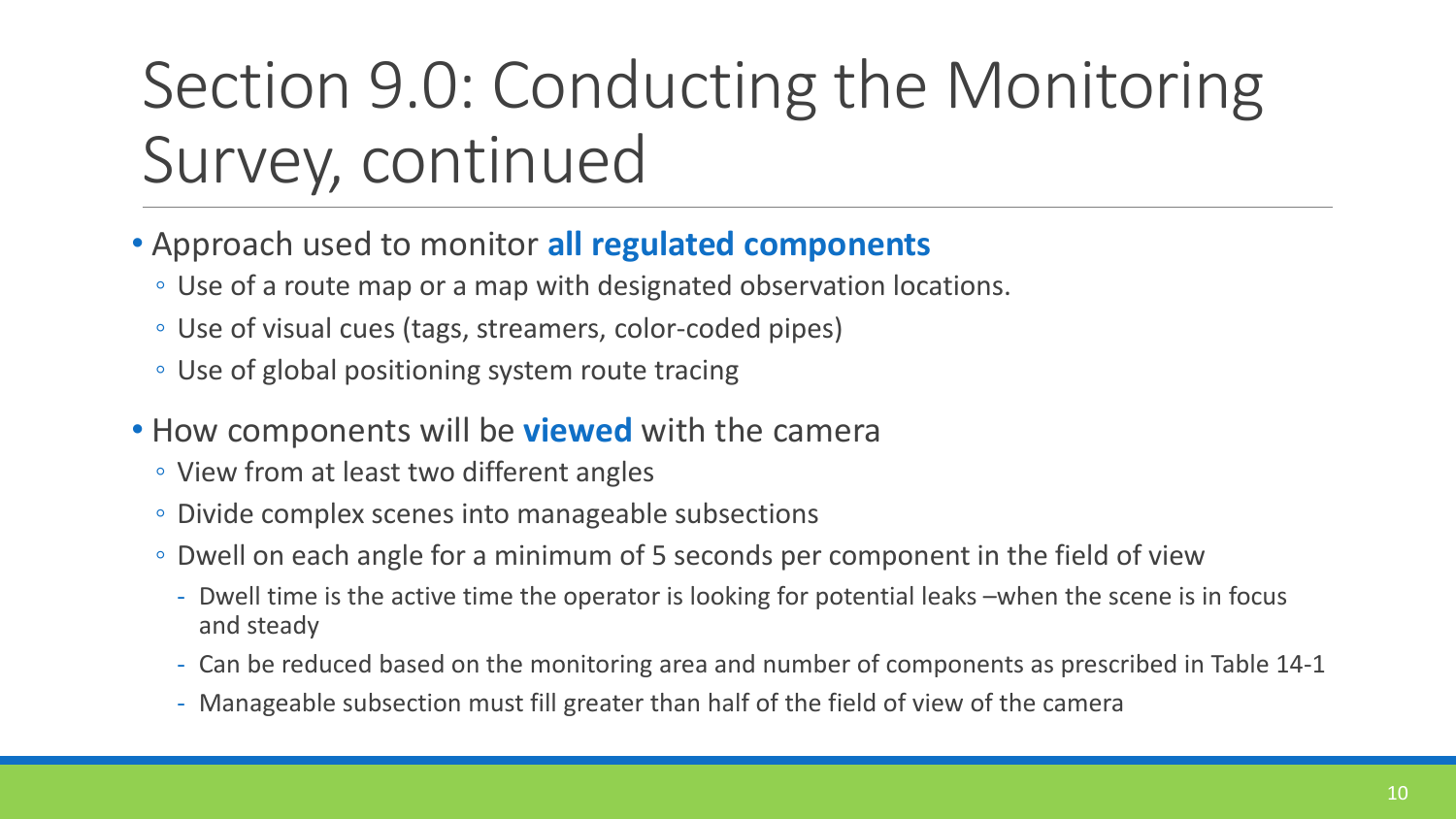### Section 9.0: Conducting the Monitoring Survey, continued

- Approach used to monitor **all regulated components** 
	- Use of a route map or a map with designated observation locations.
	- Use of visual cues (tags, streamers, color-coded pipes)
	- Use of global positioning system route tracing
- How components will be **viewed** with the camera
	- View from at least two different angles
	- Divide complex scenes into manageable subsections
	- Dwell on each angle for a minimum of 5 seconds per component in the field of view
		- Dwell time is the active time the operator is looking for potential leaks –when the scene is in focus and steady
		- Can be reduced based on the monitoring area and number of components as prescribed in Table 14-1
		- Manageable subsection must fill greater than half of the field of view of the camera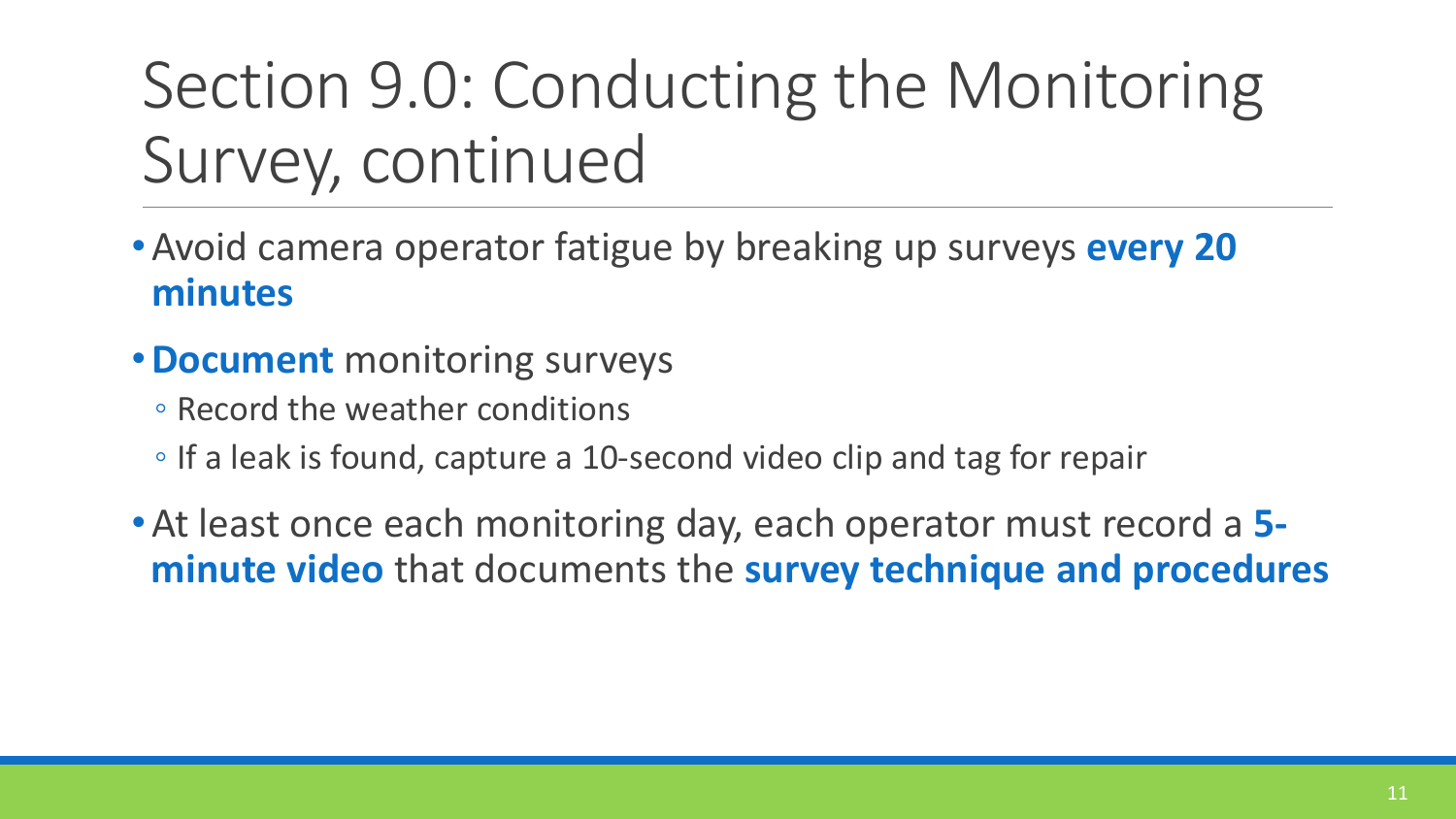#### Section 9.0: Conducting the Monitoring Survey, continued

- •Avoid camera operator fatigue by breaking up surveys **every 20 minutes**
- •**Document** monitoring surveys
	- Record the weather conditions
	- If a leak is found, capture a 10-second video clip and tag for repair
- •At least once each monitoring day, each operator must record a **5 minute video** that documents the **survey technique and procedures**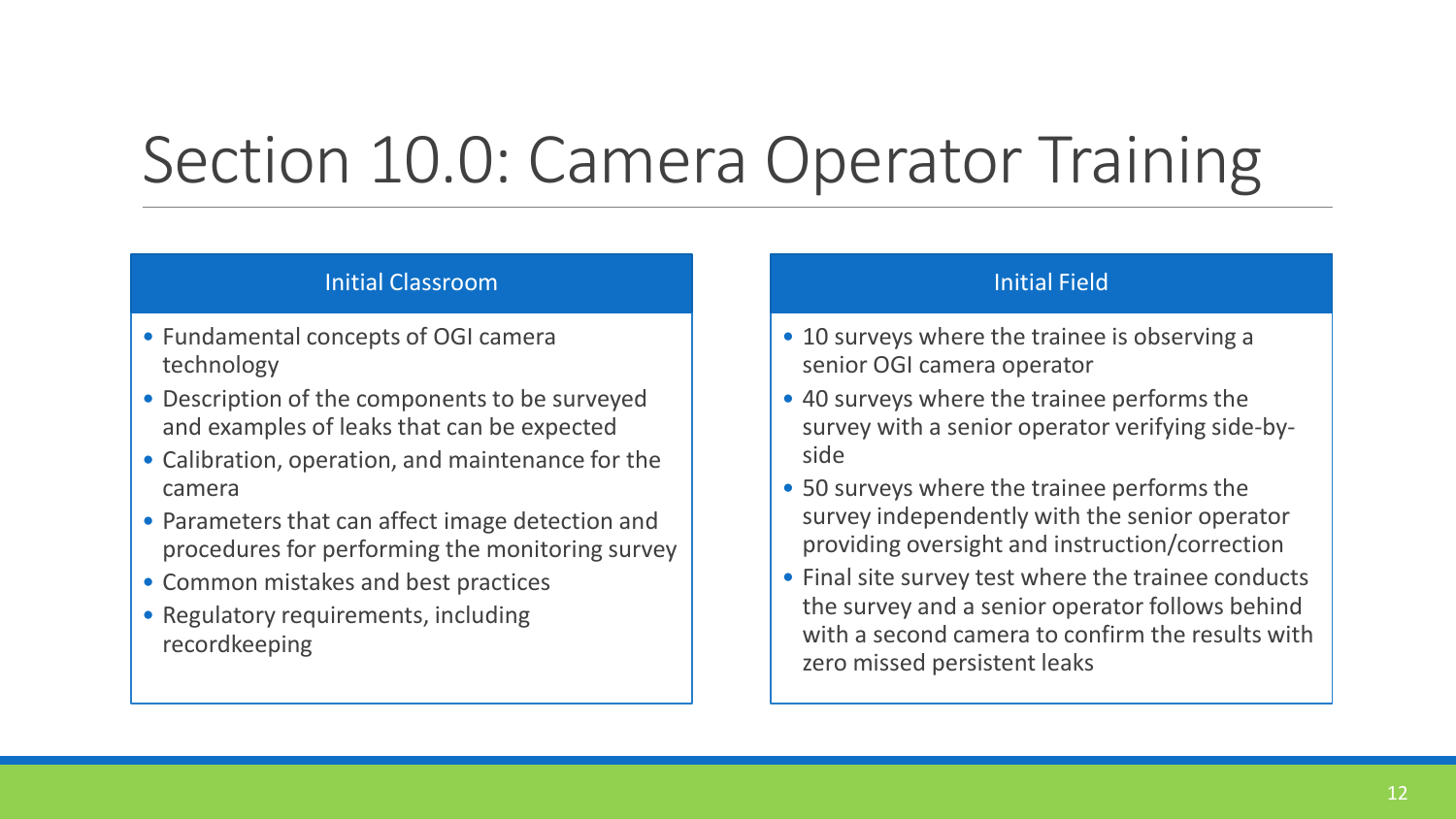#### Section 10.0: Camera Operator Training

#### Initial Classroom

- Fundamental concepts of OGI camera technology
- Description of the components to be surveyed and examples of leaks that can be expected
- Calibration, operation, and maintenance for the camera
- Parameters that can affect image detection and procedures for performing the monitoring survey
- Common mistakes and best practices
- Regulatory requirements, including recordkeeping

#### Initial Field

- 10 surveys where the trainee is observing a senior OGI camera operator
- 40 surveys where the trainee performs the survey with a senior operator verifying side-byside
- 50 surveys where the trainee performs the survey independently with the senior operator providing oversight and instruction/correction
- Final site survey test where the trainee conducts the survey and a senior operator follows behind with a second camera to confirm the results with zero missed persistent leaks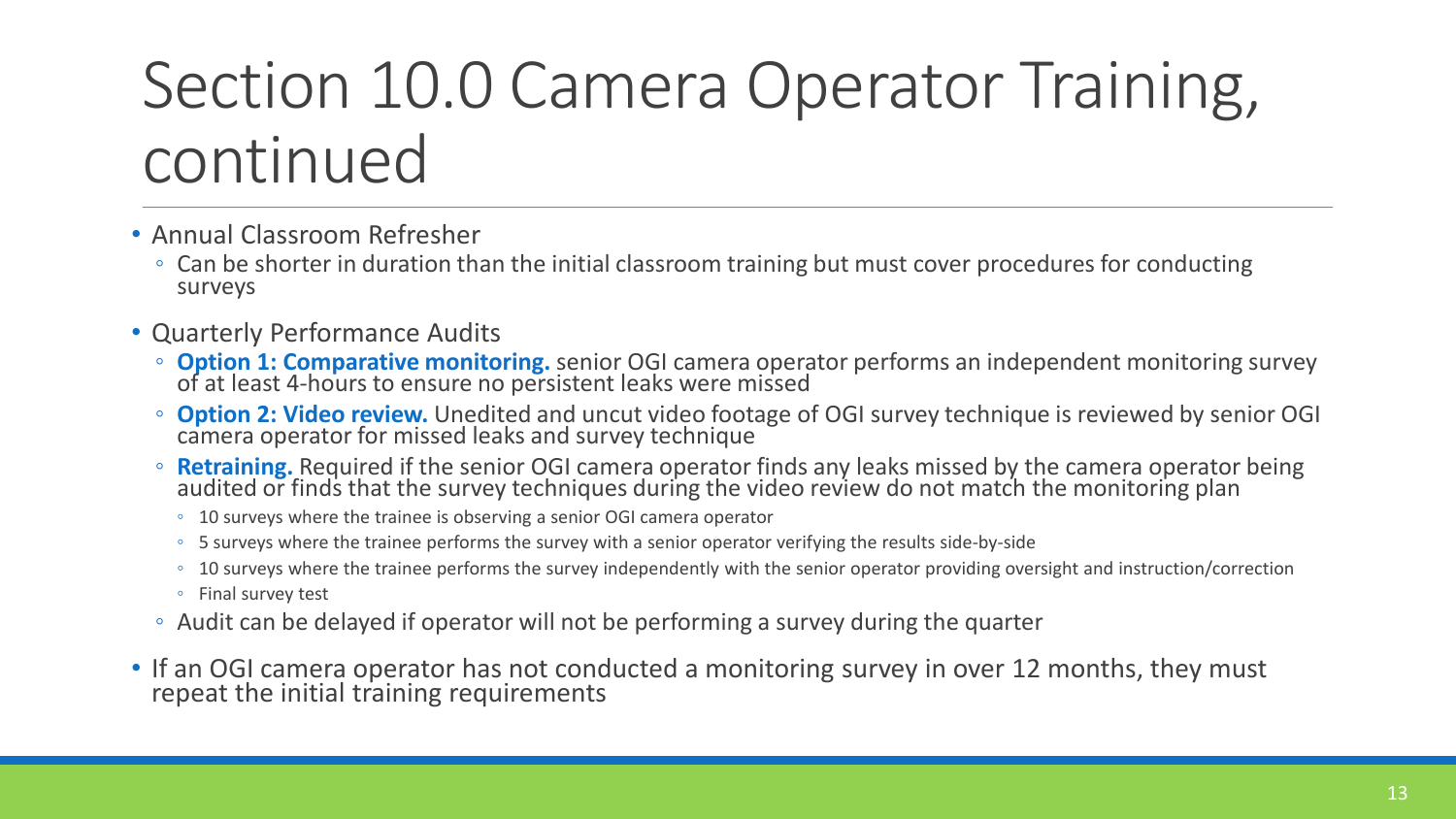#### Section 10.0 Camera Operator Training, continued

- Annual Classroom Refresher
	- Can be shorter in duration than the initial classroom training but must cover procedures for conducting surveys
- Quarterly Performance Audits
	- **Option 1: Comparative monitoring.** senior OGI camera operator performs an independent monitoring survey of at least 4-hours to ensure no persistent leaks were missed
	- **Option 2: Video review.** Unedited and uncut video footage of OGI survey technique is reviewed by senior OGI camera operator for missed leaks and survey technique
	- **Retraining.** Required if the senior OGI camera operator finds any leaks missed by the camera operator being audited or finds that the survey techniques during the video review do not match the monitoring plan
		- 10 surveys where the trainee is observing a senior OGI camera operator
		- 5 surveys where the trainee performs the survey with a senior operator verifying the results side-by-side
		- 10 surveys where the trainee performs the survey independently with the senior operator providing oversight and instruction/correction
		- Final survey test
	- Audit can be delayed if operator will not be performing a survey during the quarter
- If an OGI camera operator has not conducted a monitoring survey in over 12 months, they must repeat the initial training requirements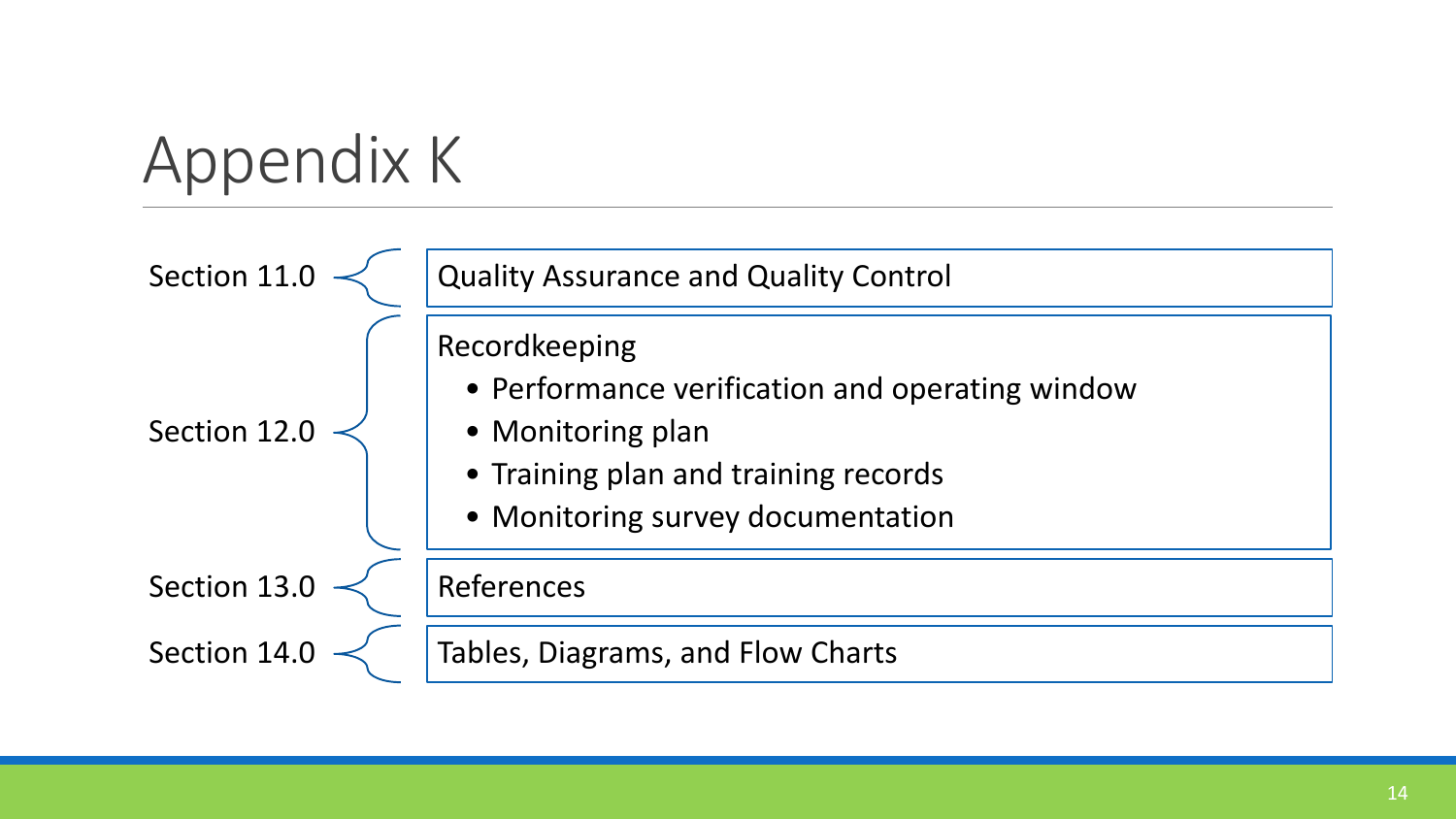# Appendix K

| Section 11   | <b>Quality Assurance and Quality Control</b>                                                                                                                       |
|--------------|--------------------------------------------------------------------------------------------------------------------------------------------------------------------|
| Section 12.0 | Recordkeeping<br>• Performance verification and operating window<br>• Monitoring plan<br>• Training plan and training records<br>• Monitoring survey documentation |
| Section 13.  | References                                                                                                                                                         |
| Section 14   | Tables, Diagrams, and Flow Charts                                                                                                                                  |